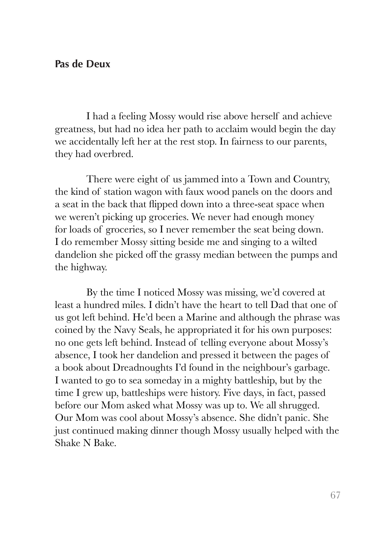## **Pas de Deux**

I had a feeling Mossy would rise above herself and achieve greatness, but had no idea her path to acclaim would begin the day we accidentally left her at the rest stop. In fairness to our parents, they had overbred.

There were eight of us jammed into a Town and Country, the kind of station wagon with faux wood panels on the doors and a seat in the back that flipped down into a three-seat space when we weren't picking up groceries. We never had enough money for loads of groceries, so I never remember the seat being down. I do remember Mossy sitting beside me and singing to a wilted dandelion she picked off the grassy median between the pumps and the highway.

By the time I noticed Mossy was missing, we'd covered at least a hundred miles. I didn't have the heart to tell Dad that one of us got left behind. He'd been a Marine and although the phrase was coined by the Navy Seals, he appropriated it for his own purposes: no one gets left behind. Instead of telling everyone about Mossy's absence, I took her dandelion and pressed it between the pages of a book about Dreadnoughts I'd found in the neighbour's garbage. I wanted to go to sea someday in a mighty battleship, but by the time I grew up, battleships were history. Five days, in fact, passed before our Mom asked what Mossy was up to. We all shrugged. Our Mom was cool about Mossy's absence. She didn't panic. She just continued making dinner though Mossy usually helped with the Shake N Bake.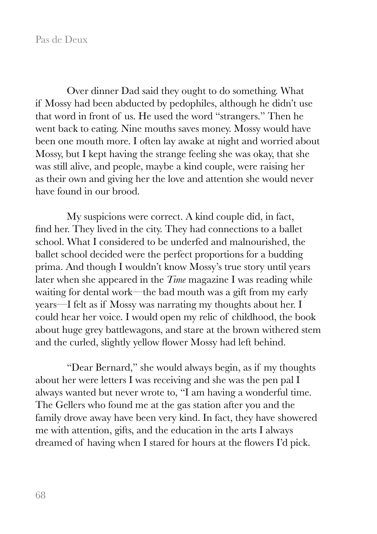Over dinner Dad said they ought to do something. What if Mossy had been abducted by pedophiles, although he didn't use that word in front of us. He used the word "strangers." Then he went back to eating. Nine mouths saves money. Mossy would have been one mouth more. I often lay awake at night and worried about Mossy, but I kept having the strange feeling she was okay, that she was still alive, and people, maybe a kind couple, were raising her as their own and giving her the love and attention she would never have found in our brood.

My suspicions were correct. A kind couple did, in fact, find her. They lived in the city. They had connections to a ballet school. What I considered to be underfed and malnourished, the ballet school decided were the perfect proportions for a budding prima. And though I wouldn't know Mossy's true story until years later when she appeared in the *Time* magazine I was reading while waiting for dental work—the bad mouth was a gift from my early years—I felt as if Mossy was narrating my thoughts about her. I could hear her voice. I would open my relic of childhood, the book about huge grey battlewagons, and stare at the brown withered stem and the curled, slightly yellow flower Mossy had left behind.

"Dear Bernard," she would always begin, as if my thoughts about her were letters I was receiving and she was the pen pal I always wanted but never wrote to, "I am having a wonderful time. The Gellers who found me at the gas station after you and the family drove away have been very kind. In fact, they have showered me with attention, gifts, and the education in the arts I always dreamed of having when I stared for hours at the flowers I'd pick.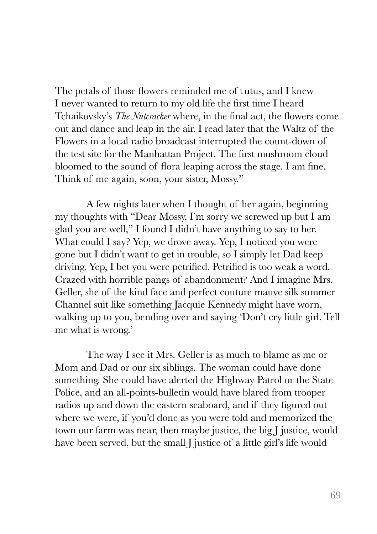The petals of those flowers reminded me of tutus, and I knew I never wanted to return to my old life the first time I heard Tchaikovsky's *The Nutcracker* where, in the final act, the flowers come out and dance and leap in the air. I read later that the Waltz of the Flowers in a local radio broadcast interrupted the count-down of the test site for the Manhattan Project. The first mushroom cloud bloomed to the sound of flora leaping across the stage. I am fine. Think of me again, soon, your sister, Mossy."

A few nights later when I thought of her again, beginning my thoughts with "Dear Mossy, I'm sorry we screwed up but I am glad you are well," I found I didn't have anything to say to her. What could I say? Yep, we drove away. Yep, I noticed you were gone but I didn't want to get in trouble, so I simply let Dad keep driving. Yep, I bet you were petrified. Petrified is too weak a word. Crazed with horrible pangs of abandonment? And I imagine Mrs. Geller, she of the kind face and perfect couture mauve silk summer Channel suit like something Jacquie Kennedy might have worn, walking up to you, bending over and saying 'Don't cry little girl. Tell me what is wrong.'

The way I see it Mrs. Geller is as much to blame as me or Mom and Dad or our six siblings. The woman could have done something. She could have alerted the Highway Patrol or the State Police, and an all-points-bulletin would have blared from trooper radios up and down the eastern seaboard, and if they figured out where we were, if you'd done as you were told and memorized the town our farm was near, then maybe justice, the big J justice, would have been served, but the small J justice of a little girl's life would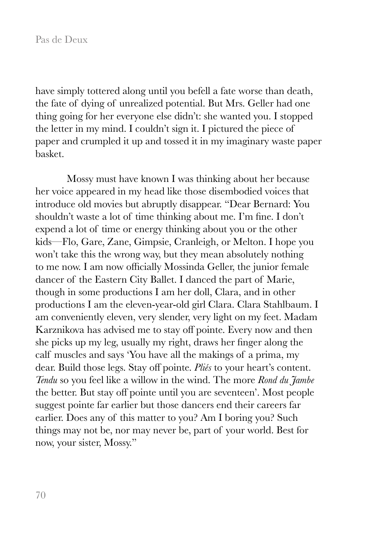have simply tottered along until you befell a fate worse than death, the fate of dying of unrealized potential. But Mrs. Geller had one thing going for her everyone else didn't: she wanted you. I stopped the letter in my mind. I couldn't sign it. I pictured the piece of paper and crumpled it up and tossed it in my imaginary waste paper basket.

Mossy must have known I was thinking about her because her voice appeared in my head like those disembodied voices that introduce old movies but abruptly disappear. "Dear Bernard: You shouldn't waste a lot of time thinking about me. I'm fine. I don't expend a lot of time or energy thinking about you or the other kids—Flo, Gare, Zane, Gimpsie, Cranleigh, or Melton. I hope you won't take this the wrong way, but they mean absolutely nothing to me now. I am now officially Mossinda Geller, the junior female dancer of the Eastern City Ballet. I danced the part of Marie, though in some productions I am her doll, Clara, and in other productions I am the eleven-year-old girl Clara. Clara Stahlbaum. I am conveniently eleven, very slender, very light on my feet. Madam Karznikova has advised me to stay off pointe. Every now and then she picks up my leg, usually my right, draws her finger along the calf muscles and says 'You have all the makings of a prima, my dear. Build those legs. Stay off pointe. *Pliés* to your heart's content. *Tendu* so you feel like a willow in the wind. The more *Rond du Jambe*  the better. But stay off pointe until you are seventeen'. Most people suggest pointe far earlier but those dancers end their careers far earlier. Does any of this matter to you? Am I boring you? Such things may not be, nor may never be, part of your world. Best for now, your sister, Mossy."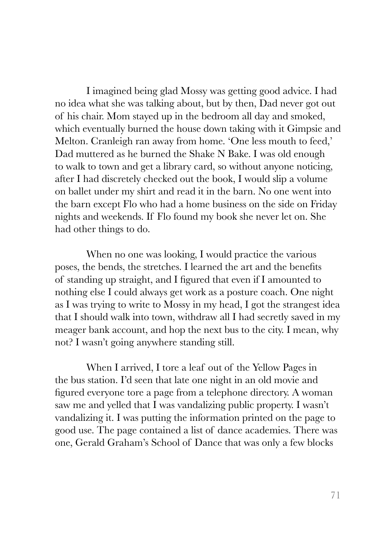I imagined being glad Mossy was getting good advice. I had no idea what she was talking about, but by then, Dad never got out of his chair. Mom stayed up in the bedroom all day and smoked, which eventually burned the house down taking with it Gimpsie and Melton. Cranleigh ran away from home. 'One less mouth to feed,' Dad muttered as he burned the Shake N Bake. I was old enough to walk to town and get a library card, so without anyone noticing, after I had discretely checked out the book, I would slip a volume on ballet under my shirt and read it in the barn. No one went into the barn except Flo who had a home business on the side on Friday nights and weekends. If Flo found my book she never let on. She had other things to do.

When no one was looking, I would practice the various poses, the bends, the stretches. I learned the art and the benefits of standing up straight, and I figured that even if I amounted to nothing else I could always get work as a posture coach. One night as I was trying to write to Mossy in my head, I got the strangest idea that I should walk into town, withdraw all I had secretly saved in my meager bank account, and hop the next bus to the city. I mean, why not? I wasn't going anywhere standing still.

When I arrived, I tore a leaf out of the Yellow Pages in the bus station. I'd seen that late one night in an old movie and figured everyone tore a page from a telephone directory. A woman saw me and yelled that I was vandalizing public property. I wasn't vandalizing it. I was putting the information printed on the page to good use. The page contained a list of dance academies. There was one, Gerald Graham's School of Dance that was only a few blocks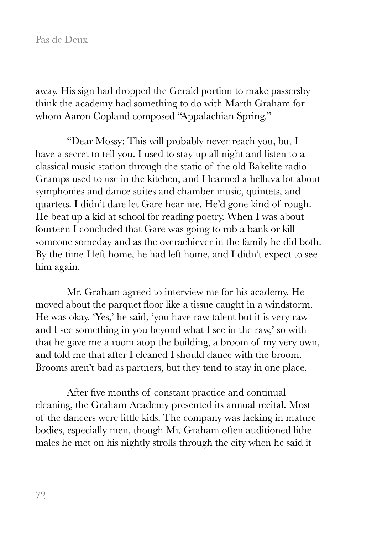away. His sign had dropped the Gerald portion to make passersby think the academy had something to do with Marth Graham for whom Aaron Copland composed "Appalachian Spring."

"Dear Mossy: This will probably never reach you, but I have a secret to tell you. I used to stay up all night and listen to a classical music station through the static of the old Bakelite radio Gramps used to use in the kitchen, and I learned a helluva lot about symphonies and dance suites and chamber music, quintets, and quartets. I didn't dare let Gare hear me. He'd gone kind of rough. He beat up a kid at school for reading poetry. When I was about fourteen I concluded that Gare was going to rob a bank or kill someone someday and as the overachiever in the family he did both. By the time I left home, he had left home, and I didn't expect to see him again.

Mr. Graham agreed to interview me for his academy. He moved about the parquet floor like a tissue caught in a windstorm. He was okay. 'Yes,' he said, 'you have raw talent but it is very raw and I see something in you beyond what I see in the raw,' so with that he gave me a room atop the building, a broom of my very own, and told me that after I cleaned I should dance with the broom. Brooms aren't bad as partners, but they tend to stay in one place.

After five months of constant practice and continual cleaning, the Graham Academy presented its annual recital. Most of the dancers were little kids. The company was lacking in mature bodies, especially men, though Mr. Graham often auditioned lithe males he met on his nightly strolls through the city when he said it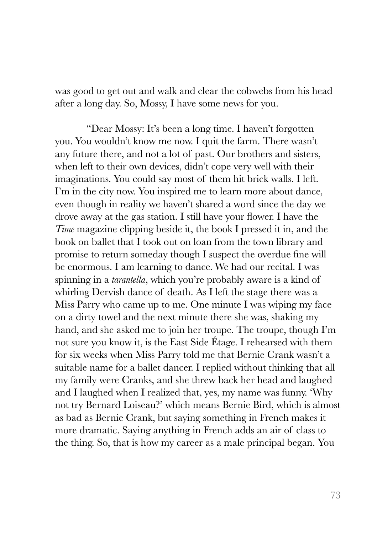was good to get out and walk and clear the cobwebs from his head after a long day. So, Mossy, I have some news for you.

"Dear Mossy: It's been a long time. I haven't forgotten you. You wouldn't know me now. I quit the farm. There wasn't any future there, and not a lot of past. Our brothers and sisters, when left to their own devices, didn't cope very well with their imaginations. You could say most of them hit brick walls. I left. I'm in the city now. You inspired me to learn more about dance, even though in reality we haven't shared a word since the day we drove away at the gas station. I still have your flower. I have the *Time* magazine clipping beside it, the book I pressed it in, and the book on ballet that I took out on loan from the town library and promise to return someday though I suspect the overdue fine will be enormous. I am learning to dance. We had our recital. I was spinning in a *tarantella*, which you're probably aware is a kind of whirling Dervish dance of death. As I left the stage there was a Miss Parry who came up to me. One minute I was wiping my face on a dirty towel and the next minute there she was, shaking my hand, and she asked me to join her troupe. The troupe, though I'm not sure you know it, is the East Side Étage. I rehearsed with them for six weeks when Miss Parry told me that Bernie Crank wasn't a suitable name for a ballet dancer. I replied without thinking that all my family were Cranks, and she threw back her head and laughed and I laughed when I realized that, yes, my name was funny. 'Why not try Bernard Loiseau?' which means Bernie Bird, which is almost as bad as Bernie Crank, but saying something in French makes it more dramatic. Saying anything in French adds an air of class to the thing. So, that is how my career as a male principal began. You